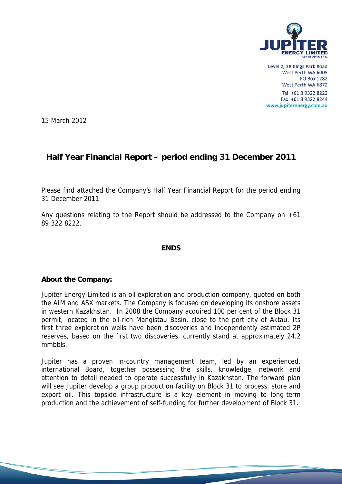

Level 2, 28 Kings Park Road West Perth WA 6005 **PO Box 1282** West Perth WA 6872

Tel: +61 8 9322 8222 Fax: +61 8 9322 8244 www.jupiterenergy.com.au

15 March 2012

# **Half Year Financial Report – period ending 31 December 2011**

Please find attached the Company's Half Year Financial Report for the period ending 31 December 2011.

Any questions relating to the Report should be addressed to the Company on +61 89 322 8222.

# **ENDS**

# **About the Company:**

Jupiter Energy Limited is an oil exploration and production company, quoted on both the AIM and ASX markets. The Company is focused on developing its onshore assets in western Kazakhstan. In 2008 the Company acquired 100 per cent of the Block 31 permit, located in the oil-rich Mangistau Basin, close to the port city of Aktau. Its first three exploration wells have been discoveries and independently estimated 2P reserves, based on the first two discoveries, currently stand at approximately 24.2 mmbbls.

Jupiter has a proven in-country management team, led by an experienced, international Board, together possessing the skills, knowledge, network and attention to detail needed to operate successfully in Kazakhstan. The forward plan will see Jupiter develop a group production facility on Block 31 to process, store and export oil. This topside infrastructure is a key element in moving to long-term production and the achievement of self-funding for further development of Block 31.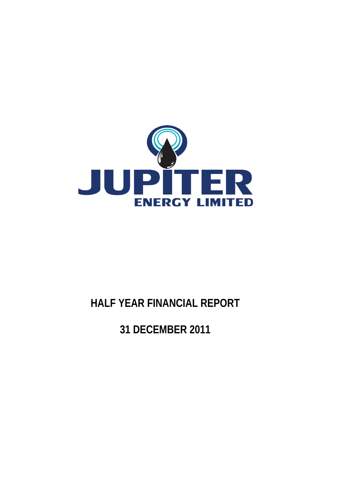

# **HALF YEAR FINANCIAL REPORT**

**31 DECEMBER 2011**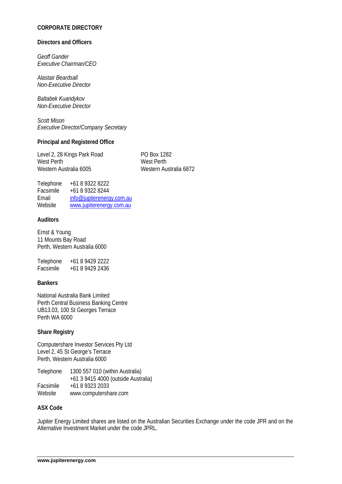# **CORPORATE DIRECTORY**

#### **Directors and Officers**

*Geoff Gander Executive Chairman/CEO* 

*Alastair Beardsall Non-Executive Director* 

*Baltabek Kuandykov Non-Executive Director* 

*Scott Mison Executive Director/Company Secretary* 

#### **Principal and Registered Office**

Level 2, 28 Kings Park Road PO Box 1282 West Perth West Perth Western Australia 6005 Western Australia 6872

| info@jupiterenergy.com.au |
|---------------------------|
| www.jupiterenergy.com.au  |
|                           |

# **Auditors**

Ernst & Young 11 Mounts Bay Road Perth, Western Australia 6000

Telephone +61 8 9429 2222 Facsimile +61 8 9429 2436

# **Bankers**

National Australia Bank Limited Perth Central Business Banking Centre UB13.03, 100 St Georges Terrace Perth WA 6000

#### **Share Registry**

Computershare Investor Services Pty Ltd Level 2, 45 St George's Terrace Perth, Western Australia 6000

| Telephone | 1300 557 010 (within Australia)     |
|-----------|-------------------------------------|
|           | +61 3 9415 4000 (outside Australia) |
| Facsimile | +61 8 9323 2033                     |
| Website   | www.computershare.com               |

#### **ASX Code**

Jupiter Energy Limited shares are listed on the Australian Securities Exchange under the code JPR and on the Alternative Investment Market under the code JPRL.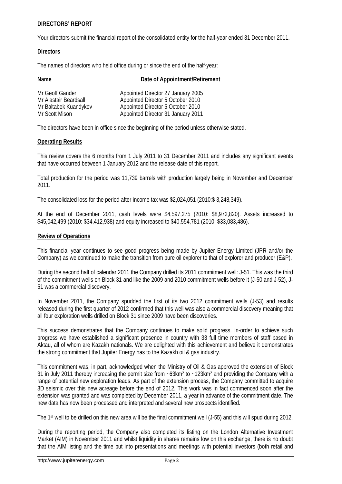# **DIRECTORS' REPORT**

Your directors submit the financial report of the consolidated entity for the half-year ended 31 December 2011.

#### **Directors**

The names of directors who held office during or since the end of the half-year:

| Name                  | Date of Appointment/Retirement     |
|-----------------------|------------------------------------|
| Mr Geoff Gander       | Appointed Director 27 January 2005 |
| Mr Alastair Beardsall | Appointed Director 5 October 2010  |
| Mr Baltabek Kuandykov | Appointed Director 5 October 2010  |
| Mr Scott Mison        | Appointed Director 31 January 2011 |

The directors have been in office since the beginning of the period unless otherwise stated.

#### **Operating Results**

This review covers the 6 months from 1 July 2011 to 31 December 2011 and includes any significant events that have occurred between 1 January 2012 and the release date of this report.

Total production for the period was 11,739 barrels with production largely being in November and December 2011.

The consolidated loss for the period after income tax was \$2,024,051 (2010:\$ 3,248,349).

At the end of December 2011, cash levels were \$4,597,275 (2010: \$8,972,820). Assets increased to \$45,042,499 (2010: \$34,412,938) and equity increased to \$40,554,781 (2010: \$33,083,486).

# **Review of Operations**

This financial year continues to see good progress being made by Jupiter Energy Limited (JPR and/or the Company) as we continued to make the transition from pure oil explorer to that of explorer and producer (E&P).

During the second half of calendar 2011 the Company drilled its 2011 commitment well: J-51. This was the third of the commitment wells on Block 31 and like the 2009 and 2010 commitment wells before it (J-50 and J-52), J-51 was a commercial discovery.

In November 2011, the Company spudded the first of its two 2012 commitment wells (J-53) and results released during the first quarter of 2012 confirmed that this well was also a commercial discovery meaning that all four exploration wells drilled on Block 31 since 2009 have been discoveries.

This success demonstrates that the Company continues to make solid progress. In-order to achieve such progress we have established a significant presence in country with 33 full time members of staff based in Aktau, all of whom are Kazakh nationals. We are delighted with this achievement and believe it demonstrates the strong commitment that Jupiter Energy has to the Kazakh oil & gas industry.

This commitment was, in part, acknowledged when the Ministry of Oil & Gas approved the extension of Block 31 in July 2011 thereby increasing the permit size from  $~-63$ km<sup>2</sup> to  $~-123$ km<sup>2</sup> and providing the Company with a range of potential new exploration leads. As part of the extension process, the Company committed to acquire 3D seismic over this new acreage before the end of 2012. This work was in fact commenced soon after the extension was granted and was completed by December 2011, a year in advance of the commitment date. The new data has now been processed and interpreted and several new prospects identified.

The 1<sup>st</sup> well to be drilled on this new area will be the final commitment well (J-55) and this will spud during 2012.

During the reporting period, the Company also completed its listing on the London Alternative Investment Market (AIM) in November 2011 and whilst liquidity in shares remains low on this exchange, there is no doubt that the AIM listing and the time put into presentations and meetings with potential investors (both retail and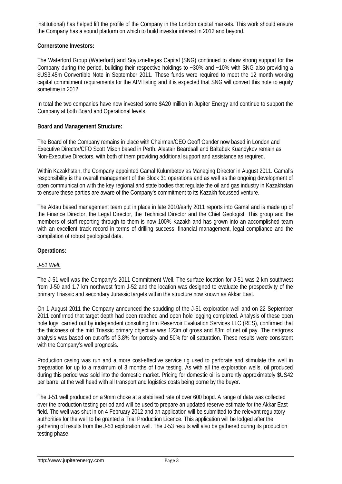institutional) has helped lift the profile of the Company in the London capital markets. This work should ensure the Company has a sound platform on which to build investor interest in 2012 and beyond.

# **Cornerstone Investors:**

The Waterford Group (Waterford) and Soyuzneftegas Capital (SNG) continued to show strong support for the Company during the period, building their respective holdings to ~30% and ~10% with SNG also providing a \$US3.45m Convertible Note in September 2011. These funds were required to meet the 12 month working capital commitment requirements for the AIM listing and it is expected that SNG will convert this note to equity sometime in 2012.

In total the two companies have now invested some \$A20 million in Jupiter Energy and continue to support the Company at both Board and Operational levels.

# **Board and Management Structure:**

The Board of the Company remains in place with Chairman/CEO Geoff Gander now based in London and Executive Director/CFO Scott Mison based in Perth. Alastair Beardsall and Baltabek Kuandykov remain as Non-Executive Directors, with both of them providing additional support and assistance as required.

Within Kazakhstan, the Company appointed Gamal Kulumbetov as Managing Director in August 2011. Gamal's responsibility is the overall management of the Block 31 operations and as well as the ongoing development of open communication with the key regional and state bodies that regulate the oil and gas industry in Kazakhstan to ensure these parties are aware of the Company's commitment to its Kazakh focussed venture.

The Aktau based management team put in place in late 2010/early 2011 reports into Gamal and is made up of the Finance Director, the Legal Director, the Technical Director and the Chief Geologist. This group and the members of staff reporting through to them is now 100% Kazakh and has grown into an accomplished team with an excellent track record in terms of drilling success, financial management, legal compliance and the compilation of robust geological data.

# **Operations:**

# *J-51 Well:*

The J-51 well was the Company's 2011 Commitment Well. The surface location for J-51 was 2 km southwest from J-50 and 1.7 km northwest from J-52 and the location was designed to evaluate the prospectivity of the primary Triassic and secondary Jurassic targets within the structure now known as Akkar East.

On 1 August 2011 the Company announced the spudding of the J-51 exploration well and on 22 September 2011 confirmed that target depth had been reached and open hole logging completed. Analysis of these open hole logs, carried out by independent consulting firm Reservoir Evaluation Services LLC (RES), confirmed that the thickness of the mid Triassic primary objective was 123m of gross and 83m of net oil pay. The net/gross analysis was based on cut-offs of 3.8% for porosity and 50% for oil saturation. These results were consistent with the Company's well prognosis.

Production casing was run and a more cost-effective service rig used to perforate and stimulate the well in preparation for up to a maximum of 3 months of flow testing. As with all the exploration wells, oil produced during this period was sold into the domestic market. Pricing for domestic oil is currently approximately \$US42 per barrel at the well head with all transport and logistics costs being borne by the buyer.

The J-51 well produced on a 9mm choke at a stabilised rate of over 600 bopd. A range of data was collected over the production testing period and will be used to prepare an updated reserve estimate for the Akkar East field. The well was shut in on 4 February 2012 and an application will be submitted to the relevant regulatory authorities for the well to be granted a Trial Production Licence. This application will be lodged after the gathering of results from the J-53 exploration well. The J-53 results will also be gathered during its production testing phase.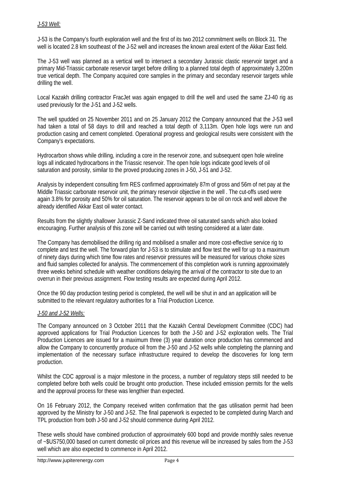# *J-53 Well:*

J-53 is the Company's fourth exploration well and the first of its two 2012 commitment wells on Block 31. The well is located 2.8 km southeast of the J-52 well and increases the known areal extent of the Akkar East field.

The J-53 well was planned as a vertical well to intersect a secondary Jurassic clastic reservoir target and a primary Mid-Triassic carbonate reservoir target before drilling to a planned total depth of approximately 3,200m true vertical depth. The Company acquired core samples in the primary and secondary reservoir targets while drilling the well.

Local Kazakh drilling contractor FracJet was again engaged to drill the well and used the same ZJ-40 rig as used previously for the J-51 and J-52 wells.

The well spudded on 25 November 2011 and on 25 January 2012 the Company announced that the J-53 well had taken a total of 58 days to drill and reached a total depth of 3,113m. Open hole logs were run and production casing and cement completed. Operational progress and geological results were consistent with the Company's expectations.

Hydrocarbon shows while drilling, including a core in the reservoir zone, and subsequent open hole wireline logs all indicated hydrocarbons in the Triassic reservoir. The open hole logs indicate good levels of oil saturation and porosity, similar to the proved producing zones in J-50, J-51 and J-52.

Analysis by independent consulting firm RES confirmed approximately 87m of gross and 56m of net pay at the Middle Triassic carbonate reservoir unit, the primary reservoir objective in the well . The cut-offs used were again 3.8% for porosity and 50% for oil saturation. The reservoir appears to be oil on rock and well above the already identified Akkar East oil water contact.

Results from the slightly shallower Jurassic Z-Sand indicated three oil saturated sands which also looked encouraging. Further analysis of this zone will be carried out with testing considered at a later date.

The Company has demobilised the drilling rig and mobilised a smaller and more cost-effective service rig to complete and test the well. The forward plan for J-53 is to stimulate and flow test the well for up to a maximum of ninety days during which time flow rates and reservoir pressures will be measured for various choke sizes and fluid samples collected for analysis. The commencement of this completion work is running approximately three weeks behind schedule with weather conditions delaying the arrival of the contractor to site due to an overrun in their previous assignment. Flow testing results are expected during April 2012.

Once the 90 day production testing period is completed, the well will be shut in and an application will be submitted to the relevant regulatory authorities for a Trial Production Licence.

# *J-50 and J-52 Wells:*

The Company announced on 3 October 2011 that the Kazakh Central Development Committee (CDC) had approved applications for Trial Production Licences for both the J-50 and J-52 exploration wells. The Trial Production Licences are issued for a maximum three (3) year duration once production has commenced and allow the Company to concurrently produce oil from the J-50 and J-52 wells while completing the planning and implementation of the necessary surface infrastructure required to develop the discoveries for long term production.

Whilst the CDC approval is a major milestone in the process, a number of regulatory steps still needed to be completed before both wells could be brought onto production. These included emission permits for the wells and the approval process for these was lengthier than expected.

On 16 February 2012, the Company received written confirmation that the gas utilisation permit had been approved by the Ministry for J-50 and J-52. The final paperwork is expected to be completed during March and TPL production from both J-50 and J-52 should commence during April 2012.

These wells should have combined production of approximately 600 bopd and provide monthly sales revenue of ~\$US750,000 based on current domestic oil prices and this revenue will be increased by sales from the J-53 well which are also expected to commence in April 2012.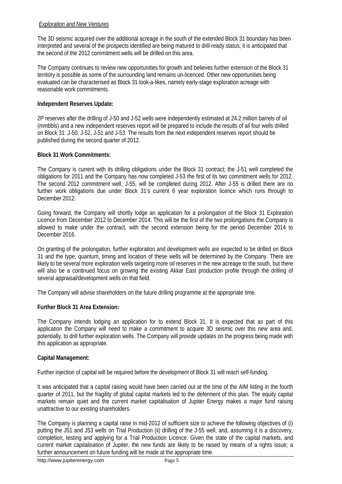# *Exploration and New Ventures*

The 3D seismic acquired over the additional acreage in the south of the extended Block 31 boundary has been interpreted and several of the prospects identified are being matured to drill-ready status; it is anticipated that the second of the 2012 commitment wells will be drilled on this area.

The Company continues to review new opportunities for growth and believes further extension of the Block 31 territory is possible as some of the surrounding land remains un-licenced. Other new opportunities being evaluated can be characterised as Block 31 look-a-likes, namely early-stage exploration acreage with reasonable work commitments.

# **Independent Reserves Update:**

2P reserves after the drilling of J-50 and J-52 wells were independently estimated at 24.2 million barrels of oil (mmbbls) and a new independent reserves report will be prepared to include the results of all four wells drilled on Block 31: J-50, J-52, J-51 and J-53. The results from the next independent reserves report should be published during the second quarter of 2012.

# **Block 31 Work Commitments:**

The Company is current with its drilling obligations under the Block 31 contract; the J-51 well completed the obligations for 2011 and the Company has now completed J-53 the first of its two commitment wells for 2012. The second 2012 commitment well, J-55, will be completed during 2012. After J-55 is drilled there are no further work obligations due under Block 31's current 6 year exploration licence which runs through to December 2012.

Going forward, the Company will shortly lodge an application for a prolongation of the Block 31 Exploration Licence from December 2012 to December 2014. This will be the first of the two prolongations the Company is allowed to make under the contract, with the second extension being for the period December 2014 to December 2016.

On granting of the prolongation, further exploration and development wells are expected to be drilled on Block 31 and the type, quantum, timing and location of these wells will be determined by the Company. There are likely to be several more exploration wells targeting more oil reserves in the new acreage to the south, but there will also be a continued focus on growing the existing Akkar East production profile through the drilling of several appraisal/development wells on that field.

The Company will advise shareholders on the future drilling programme at the appropriate time.

#### **Further Block 31 Area Extension:**

The Company intends lodging an application for to extend Block 31. It is expected that as part of this application the Company will need to make a commitment to acquire 3D seismic over this new area and, potentially, to drill further exploration wells. The Company will provide updates on the progress being made with this application as appropriate.

#### **Capital Management:**

Further injection of capital will be required before the development of Block 31 will reach self-funding.

It was anticipated that a capital raising would have been carried out at the time of the AIM listing in the fourth quarter of 2011, but the fragility of global capital markets led to the deferment of this plan. The equity capital markets remain quiet and the current market capitalisation of Jupiter Energy makes a major fund raising unattractive to our existing shareholders.

The Company is planning a capital raise in mid-2012 of sufficient size to achieve the following objectives of (i) putting the J51 and J53 wells on Trial Production (ii) drilling of the J-55 well, and, assuming it is a discovery, completion, testing and applying for a Trial Production Licence. Given the state of the capital markets, and current market capitalisation of Jupiter, the new funds are likely to be raised by means of a rights issue; a further announcement on future funding will be made at the appropriate time.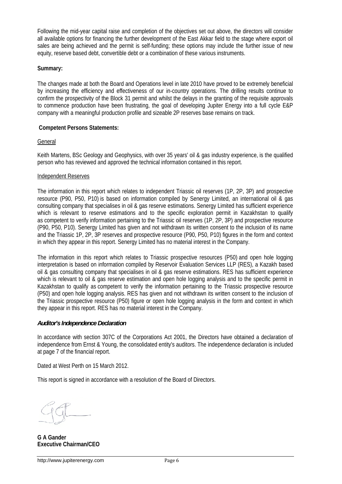Following the mid-year capital raise and completion of the objectives set out above, the directors will consider all available options for financing the further development of the East Akkar field to the stage where export oil sales are being achieved and the permit is self-funding; these options may include the further issue of new equity, reserve based debt, convertible debt or a combination of these various instruments.

### **Summary:**

The changes made at both the Board and Operations level in late 2010 have proved to be extremely beneficial by increasing the efficiency and effectiveness of our in-country operations. The drilling results continue to confirm the prospectivity of the Block 31 permit and whilst the delays in the granting of the requisite approvals to commence production have been frustrating, the goal of developing Jupiter Energy into a full cycle E&P company with a meaningful production profile and sizeable 2P reserves base remains on track.

# **Competent Persons Statements:**

# General

Keith Martens, BSc Geology and Geophysics, with over 35 years' oil & gas industry experience, is the qualified person who has reviewed and approved the technical information contained in this report.

# Independent Reserves

The information in this report which relates to independent Triassic oil reserves (1P, 2P, 3P) and prospective resource (P90, P50, P10) is based on information compiled by Senergy Limited, an international oil & gas consulting company that specialises in oil & gas reserve estimations. Senergy Limited has sufficient experience which is relevant to reserve estimations and to the specific exploration permit in Kazakhstan to qualify as competent to verify information pertaining to the Triassic oil reserves (1P, 2P, 3P) and prospective resource (P90, P50, P10). Senergy Limited has given and not withdrawn its written consent to the inclusion of its name and the Triassic 1P, 2P, 3P reserves and prospective resource (P90, P50, P10) figures in the form and context in which they appear in this report. Senergy Limited has no material interest in the Company.

The information in this report which relates to Triassic prospective resources (P50) and open hole logging interpretation is based on information compiled by Reservoir Evaluation Services LLP (RES), a Kazakh based oil & gas consulting company that specialises in oil & gas reserve estimations. RES has sufficient experience which is relevant to oil & gas reserve estimation and open hole logging analysis and to the specific permit in Kazakhstan to qualify as competent to verify the information pertaining to the Triassic prospective resource (P50) and open hole logging analysis. RES has given and not withdrawn its written consent to the inclusion of the Triassic prospective resource (P50) figure or open hole logging analysis in the form and context in which they appear in this report. RES has no material interest in the Company.

#### *Auditor's Independence Declaration*

In accordance with section 307C of the Corporations Act 2001, the Directors have obtained a declaration of independence from Ernst & Young, the consolidated entity's auditors. The independence declaration is included at page 7 of the financial report.

Dated at West Perth on 15 March 2012.

This report is signed in accordance with a resolution of the Board of Directors.

**G A Gander Executive Chairman/CEO**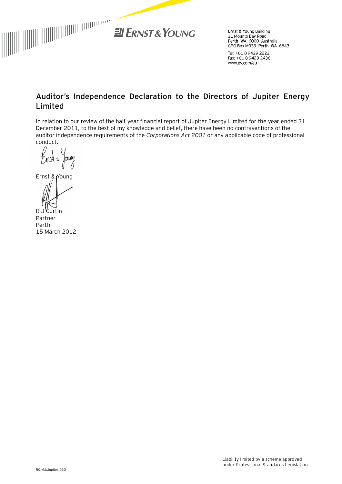

Ernst & Young Building Errist & Foung Bunding<br>11 Mounts Bay Road<br>Perth WA 6000 Australia GPO Box M939 Perth WA 6843

Tel: +61 8 9429 2222 Fax: +61 8 9429 2436 www.ey.com/au

# **Auditor's Independence Declaration to the Directors of Jupiter Energy Limited**

In relation to our review of the half-year financial report of Jupiter Energy Limited for the year ended 31 December 2011, to the best of my knowledge and belief, there have been no contraventions of the auditor independence requirements of the *Corporations Act 2001* or any applicable code of professional conduct.

nerey

Ernst & Young

R J Curtin Partner Perth 15 March 2012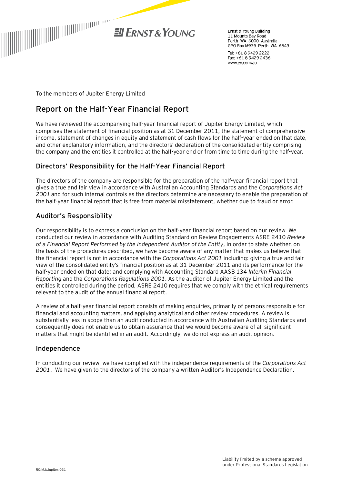

Frnst & Young Building 11 Mounts Bay Road Perth WA 6000 Australia GPO Box M939 Perth WA 6843

Tel: +61 8 9429 2222 Fax: +61 8 9429 2436 www.ey.com/au

To the members of Jupiter Energy Limited

# **Report on the Half-Year Financial Report**

We have reviewed the accompanying half-year financial report of Jupiter Energy Limited, which comprises the statement of financial position as at 31 December 2011, the statement of comprehensive income, statement of changes in equity and statement of cash flows for the half-year ended on that date, and other explanatory information, and the directors' declaration of the consolidated entity comprising the company and the entities it controlled at the half-year end or from time to time during the half-year.

# Directors' Responsibility for the Half-Year Financial Report

The directors of the company are responsible for the preparation of the half-year financial report that gives a true and fair view in accordance with Australian Accounting Standards and the *Corporations Act 2001* and for such internal controls as the directors determine are necessary to enable the preparation of the half-year financial report that is free from material misstatement, whether due to fraud or error.

# Auditor's Responsibility

Our responsibility is to express a conclusion on the half-year financial report based on our review. We conducted our review in accordance with Auditing Standard on Review Engagements ASRE 2410 *Review of a Financial Report Performed by the Independent Auditor of the Entity*, in order to state whether, on the basis of the procedures described, we have become aware of any matter that makes us believe that the financial report is not in accordance with the *Corporations Act 2001* including: giving a true and fair view of the consolidated entity's financial position as at 31 December 2011 and its performance for the half-year ended on that date; and complying with Accounting Standard AASB 134 *Interim Financial Reporting* and the *Corporations Regulations 2001*. As the auditor of Jupiter Energy Limited and the entities it controlled during the period, ASRE 2410 requires that we comply with the ethical requirements relevant to the audit of the annual financial report.

A review of a half-year financial report consists of making enquiries, primarily of persons responsible for financial and accounting matters, and applying analytical and other review procedures. A review is substantially less in scope than an audit conducted in accordance with Australian Auditing Standards and consequently does not enable us to obtain assurance that we would become aware of all significant matters that might be identified in an audit. Accordingly, we do not express an audit opinion.

# Independence

In conducting our review, we have complied with the independence requirements of the *Corporations Act 2001*. We have given to the directors of the company a written Auditor's Independence Declaration.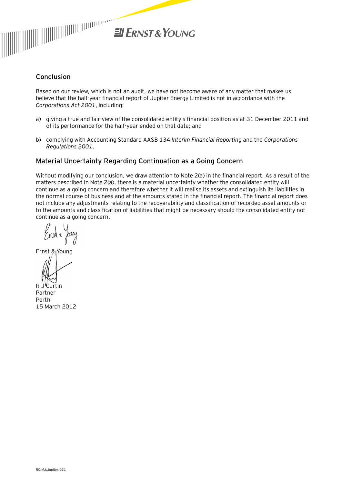

# Conclusion

Based on our review, which is not an audit, we have not become aware of any matter that makes us believe that the half-year financial report of Jupiter Energy Limited is not in accordance with the *Corporations Act 2001*, including:

- a) giving a true and fair view of the consolidated entity's financial position as at 31 December 2011 and of its performance for the half-year ended on that date; and
- b) complying with Accounting Standard AASB 134 *Interim Financial Reporting* and the *Corporations Regulations 2001*.

# Material Uncertainty Regarding Continuation as a Going Concern

Without modifying our conclusion, we draw attention to Note 2(a) in the financial report. As a result of the matters described in Note 2(a), there is a material uncertainty whether the consolidated entity will continue as a going concern and therefore whether it will realise its assets and extinguish its liabilities in the normal course of business and at the amounts stated in the financial report. The financial report does not include any adjustments relating to the recoverability and classification of recorded asset amounts or to the amounts and classification of liabilities that might be necessary should the consolidated entity not continue as a going concern.

Ernst & Young

R J Curtin Partner Perth 15 March 2012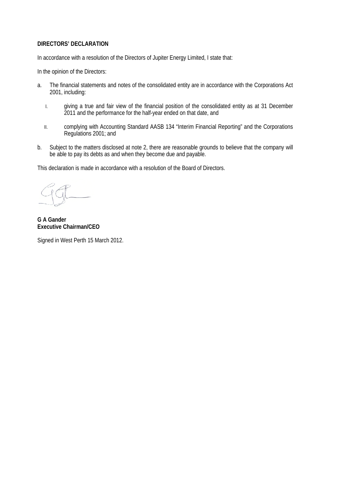#### **DIRECTORS' DECLARATION**

In accordance with a resolution of the Directors of Jupiter Energy Limited, I state that:

In the opinion of the Directors:

- a. The financial statements and notes of the consolidated entity are in accordance with the Corporations Act 2001, including:
	- I. giving a true and fair view of the financial position of the consolidated entity as at 31 December 2011 and the performance for the half-year ended on that date, and
	- II. complying with Accounting Standard AASB 134 "Interim Financial Reporting" and the Corporations Regulations 2001; and
- b. Subject to the matters disclosed at note 2, there are reasonable grounds to believe that the company will be able to pay its debts as and when they become due and payable.

This declaration is made in accordance with a resolution of the Board of Directors.

**G A Gander Executive Chairman/CEO** 

Signed in West Perth 15 March 2012.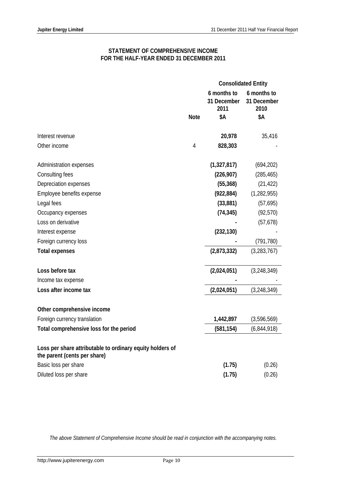# **STATEMENT OF COMPREHENSIVE INCOME FOR THE HALF-YEAR ENDED 31 DECEMBER 2011**

|                                                                                           |             |                                    | <b>Consolidated Entity</b>         |
|-------------------------------------------------------------------------------------------|-------------|------------------------------------|------------------------------------|
|                                                                                           |             | 6 months to<br>31 December<br>2011 | 6 months to<br>31 December<br>2010 |
|                                                                                           | <b>Note</b> | \$Α                                | \$Α                                |
| Interest revenue                                                                          |             | 20,978                             | 35,416                             |
| Other income                                                                              | 4           | 828,303                            |                                    |
|                                                                                           |             |                                    |                                    |
| Administration expenses                                                                   |             | (1,327,817)                        | (694, 202)                         |
| Consulting fees                                                                           |             | (226, 907)                         | (285, 465)                         |
| Depreciation expenses                                                                     |             | (55, 368)                          | (21, 422)                          |
| Employee benefits expense                                                                 |             | (922, 884)                         | (1, 282, 955)                      |
| Legal fees                                                                                |             | (33, 881)                          | (57, 695)                          |
| Occupancy expenses                                                                        |             | (74, 345)                          | (92, 570)                          |
| Loss on derivative                                                                        |             |                                    | (57, 678)                          |
| Interest expense                                                                          |             | (232, 130)                         |                                    |
| Foreign currency loss                                                                     |             |                                    | (791, 780)                         |
| <b>Total expenses</b>                                                                     |             | (2,873,332)                        | (3, 283, 767)                      |
| Loss before tax                                                                           |             | (2,024,051)                        | (3, 248, 349)                      |
| Income tax expense                                                                        |             |                                    |                                    |
| Loss after income tax                                                                     |             | (2,024,051)                        | (3, 248, 349)                      |
| Other comprehensive income                                                                |             |                                    |                                    |
| Foreign currency translation                                                              |             | 1,442,897                          | (3,596,569)                        |
| Total comprehensive loss for the period                                                   |             | (581, 154)                         | (6,844,918)                        |
|                                                                                           |             |                                    |                                    |
| Loss per share attributable to ordinary equity holders of<br>the parent (cents per share) |             |                                    |                                    |
| Basic loss per share                                                                      |             | (1.75)                             | (0.26)                             |
| Diluted loss per share                                                                    |             | (1.75)                             | (0.26)                             |

*The above Statement of Comprehensive Income should be read in conjunction with the accompanying notes.*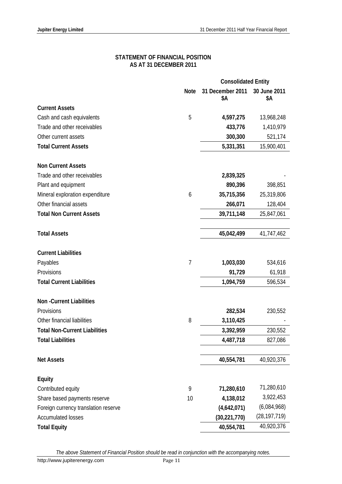#### **STATEMENT OF FINANCIAL POSITION AS AT 31 DECEMBER 2011**

|                                      |             | <b>Consolidated Entity</b> |                     |
|--------------------------------------|-------------|----------------------------|---------------------|
|                                      | <b>Note</b> | 31 December 2011<br>\$Α    | 30 June 2011<br>\$Α |
| <b>Current Assets</b>                |             |                            |                     |
| Cash and cash equivalents            | 5           | 4,597,275                  | 13,968,248          |
| Trade and other receivables          |             | 433,776                    | 1,410,979           |
| Other current assets                 |             | 300,300                    | 521,174             |
| <b>Total Current Assets</b>          |             | 5,331,351                  | 15,900,401          |
| <b>Non Current Assets</b>            |             |                            |                     |
| Trade and other receivables          |             | 2,839,325                  |                     |
| Plant and equipment                  |             | 890,396                    | 398,851             |
| Mineral exploration expenditure      | 6           | 35,715,356                 | 25,319,806          |
| Other financial assets               |             | 266,071                    | 128,404             |
| <b>Total Non Current Assets</b>      |             | 39,711,148                 | 25,847,061          |
| <b>Total Assets</b>                  |             | 45,042,499                 | 41,747,462          |
| <b>Current Liabilities</b>           |             |                            |                     |
| Payables                             | 7           | 1,003,030                  | 534,616             |
| Provisions                           |             | 91,729                     | 61,918              |
| <b>Total Current Liabilities</b>     |             | 1,094,759                  | 596,534             |
| <b>Non-Current Liabilities</b>       |             |                            |                     |
| Provisions                           |             | 282,534                    | 230,552             |
| Other financial liabilities          | 8           | 3,110,425                  |                     |
| <b>Total Non-Current Liabilities</b> |             | 3,392,959                  | 230,552             |
| <b>Total Liabilities</b>             |             | 4,487,718                  | 827,086             |
| <b>Net Assets</b>                    |             | 40,554,781                 | 40,920,376          |
| Equity                               |             |                            |                     |
| Contributed equity                   | 9           | 71,280,610                 | 71,280,610          |
| Share based payments reserve         | 10          | 4,138,012                  | 3,922,453           |
| Foreign currency translation reserve |             | (4,642,071)                | (6,084,968)         |
| <b>Accumulated losses</b>            |             | (30, 221, 770)             | (28, 197, 719)      |
| <b>Total Equity</b>                  |             | 40,554,781                 | 40,920,376          |

*The above Statement of Financial Position should be read in conjunction with the accompanying notes.*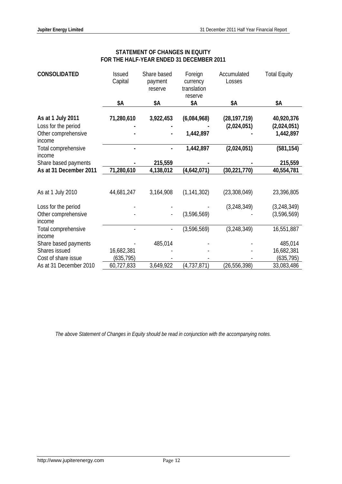| <b>CONSOLIDATED</b>           | <b>Issued</b><br>Capital | Share based<br>payment<br>reserve | Foreign<br>currency<br>translation<br>reserve | Accumulated<br>Losses | <b>Total Equity</b> |
|-------------------------------|--------------------------|-----------------------------------|-----------------------------------------------|-----------------------|---------------------|
|                               | \$Α                      | \$Α                               | \$Α                                           | \$Α                   | \$Α                 |
| As at 1 July 2011             | 71,280,610               | 3,922,453                         | (6,084,968)                                   | (28, 197, 719)        | 40,920,376          |
| Loss for the period           |                          |                                   |                                               | (2,024,051)           | (2,024,051)         |
| Other comprehensive<br>income |                          |                                   | 1,442,897                                     |                       | 1,442,897           |
| Total comprehensive<br>income |                          |                                   | 1,442,897                                     | (2,024,051)           | (581, 154)          |
| Share based payments          |                          | 215,559                           |                                               |                       | 215,559             |
| As at 31 December 2011        | 71,280,610               | 4,138,012                         | (4,642,071)                                   | (30, 221, 770)        | 40,554,781          |
|                               |                          |                                   |                                               |                       |                     |
| As at 1 July 2010             | 44,681,247               | 3,164,908                         | (1, 141, 302)                                 | (23, 308, 049)        | 23,396,805          |
| Loss for the period           |                          |                                   |                                               | (3, 248, 349)         | (3, 248, 349)       |
| Other comprehensive<br>income |                          |                                   | (3,596,569)                                   |                       | (3,596,569)         |
| Total comprehensive<br>income |                          |                                   | (3,596,569)                                   | (3, 248, 349)         | 16,551,887          |
| Share based payments          |                          | 485,014                           |                                               |                       | 485,014             |
| Shares issued                 | 16,682,381               |                                   |                                               |                       | 16,682,381          |
| Cost of share issue           | (635, 795)               |                                   |                                               |                       | (635, 795)          |
| As at 31 December 2010        | 60,727,833               | 3,649,922                         | (4, 737, 871)                                 | (26, 556, 398)        | 33,083,486          |

# **STATEMENT OF CHANGES IN EQUITY FOR THE HALF-YEAR ENDED 31 DECEMBER 2011**

*The above Statement of Changes in Equity should be read in conjunction with the accompanying notes.*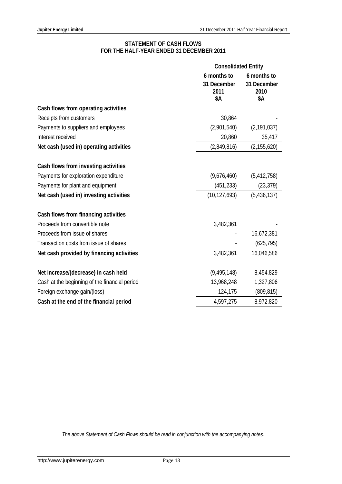# **STATEMENT OF CASH FLOWS FOR THE HALF-YEAR ENDED 31 DECEMBER 2011**

|                                               | <b>Consolidated Entity</b>                |                                           |
|-----------------------------------------------|-------------------------------------------|-------------------------------------------|
|                                               | 6 months to<br>31 December<br>2011<br>\$Α | 6 months to<br>31 December<br>2010<br>\$Α |
| Cash flows from operating activities          |                                           |                                           |
| Receipts from customers                       | 30,864                                    |                                           |
| Payments to suppliers and employees           | (2,901,540)                               | (2, 191, 037)                             |
| Interest received                             | 20,860                                    | 35,417                                    |
| Net cash (used in) operating activities       | (2,849,816)                               | (2, 155, 620)                             |
| Cash flows from investing activities          |                                           |                                           |
| Payments for exploration expenditure          | (9,676,460)                               | (5, 412, 758)                             |
| Payments for plant and equipment              | (451, 233)                                | (23, 379)                                 |
| Net cash (used in) investing activities       | (10, 127, 693)                            | (5,436,137)                               |
| Cash flows from financing activities          |                                           |                                           |
| Proceeds from convertible note                | 3,482,361                                 |                                           |
| Proceeds from issue of shares                 |                                           | 16,672,381                                |
| Transaction costs from issue of shares        |                                           | (625, 795)                                |
| Net cash provided by financing activities     | 3,482,361                                 | 16,046,586                                |
| Net increase/(decrease) in cash held          | (9, 495, 148)                             | 8,454,829                                 |
| Cash at the beginning of the financial period | 13,968,248                                | 1,327,806                                 |
| Foreign exchange gain/(loss)                  | 124,175                                   | (809, 815)                                |
| Cash at the end of the financial period       | 4,597,275                                 | 8,972,820                                 |

*The above Statement of Cash Flows should be read in conjunction with the accompanying notes.*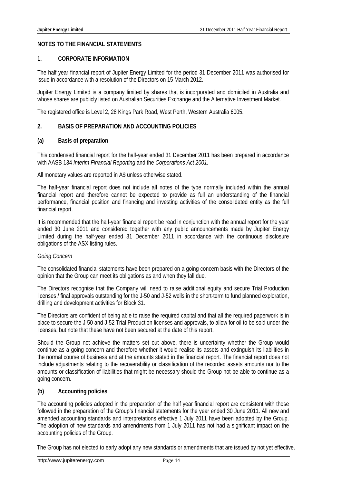# **NOTES TO THE FINANCIAL STATEMENTS**

### **1. CORPORATE INFORMATION**

The half year financial report of Jupiter Energy Limited for the period 31 December 2011 was authorised for issue in accordance with a resolution of the Directors on 15 March 2012.

Jupiter Energy Limited is a company limited by shares that is incorporated and domiciled in Australia and whose shares are publicly listed on Australian Securities Exchange and the Alternative Investment Market.

The registered office is Level 2, 28 Kings Park Road, West Perth, Western Australia 6005.

# **2. BASIS OF PREPARATION AND ACCOUNTING POLICIES**

#### **(a) Basis of preparation**

This condensed financial report for the half-year ended 31 December 2011 has been prepared in accordance with AASB 134 *Interim Financial Reporting* and the *Corporations Act 2001.* 

All monetary values are reported in A\$ unless otherwise stated.

The half-year financial report does not include all notes of the type normally included within the annual financial report and therefore cannot be expected to provide as full an understanding of the financial performance, financial position and financing and investing activities of the consolidated entity as the full financial report.

It is recommended that the half-year financial report be read in conjunction with the annual report for the year ended 30 June 2011 and considered together with any public announcements made by Jupiter Energy Limited during the half-year ended 31 December 2011 in accordance with the continuous disclosure obligations of the ASX listing rules.

#### *Going Concern*

The consolidated financial statements have been prepared on a going concern basis with the Directors of the opinion that the Group can meet its obligations as and when they fall due.

The Directors recognise that the Company will need to raise additional equity and secure Trial Production licenses / final approvals outstanding for the J-50 and J-52 wells in the short-term to fund planned exploration, drilling and development activities for Block 31.

The Directors are confident of being able to raise the required capital and that all the required paperwork is in place to secure the J-50 and J-52 Trial Production licenses and approvals, to allow for oil to be sold under the licenses, but note that these have not been secured at the date of this report.

Should the Group not achieve the matters set out above, there is uncertainty whether the Group would continue as a going concern and therefore whether it would realise its assets and extinguish its liabilities in the normal course of business and at the amounts stated in the financial report. The financial report does not include adjustments relating to the recoverability or classification of the recorded assets amounts nor to the amounts or classification of liabilities that might be necessary should the Group not be able to continue as a going concern.

# **(b) Accounting policies**

The accounting policies adopted in the preparation of the half year financial report are consistent with those followed in the preparation of the Group's financial statements for the year ended 30 June 2011. All new and amended accounting standards and interpretations effective 1 July 2011 have been adopted by the Group. The adoption of new standards and amendments from 1 July 2011 has not had a significant impact on the accounting policies of the Group.

The Group has not elected to early adopt any new standards or amendments that are issued by not yet effective.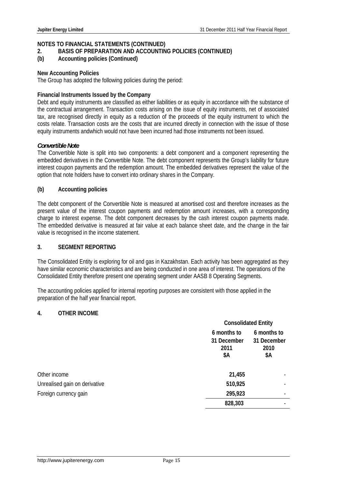# **NOTES TO FINANCIAL STATEMENTS (CONTINUED)**

# **2. BASIS OF PREPARATION AND ACCOUNTING POLICIES (CONTINUED)**

**(b) Accounting policies (Continued)** 

#### **New Accounting Policies**

The Group has adopted the following policies during the period:

### **Financial Instruments Issued by the Company**

Debt and equity instruments are classified as either liabilities or as equity in accordance with the substance of the contractual arrangement. Transaction costs arising on the issue of equity instruments, net of associated tax, are recognised directly in equity as a reduction of the proceeds of the equity instrument to which the costs relate. Transaction costs are the costs that are incurred directly in connection with the issue of those equity instruments andwhich would not have been incurred had those instruments not been issued.

#### *Convertible Note*

The Convertible Note is split into two components: a debt component and a component representing the embedded derivatives in the Convertible Note. The debt component represents the Group's liability for future interest coupon payments and the redemption amount. The embedded derivatives represent the value of the option that note holders have to convert into ordinary shares in the Company.

# **(b) Accounting policies**

The debt component of the Convertible Note is measured at amortised cost and therefore increases as the present value of the interest coupon payments and redemption amount increases, with a corresponding charge to interest expense. The debt component decreases by the cash interest coupon payments made. The embedded derivative is measured at fair value at each balance sheet date, and the change in the fair value is recognised in the income statement.

#### **3. SEGMENT REPORTING**

The Consolidated Entity is exploring for oil and gas in Kazakhstan. Each activity has been aggregated as they have similar economic characteristics and are being conducted in one area of interest. The operations of the Consolidated Entity therefore present one operating segment under AASB 8 Operating Segments.

The accounting policies applied for internal reporting purposes are consistent with those applied in the preparation of the half year financial report.

# **4. OTHER INCOME**

|                               | <b>Consolidated Entity</b> |                            |
|-------------------------------|----------------------------|----------------------------|
|                               | 6 months to                | 6 months to                |
|                               | 31 December<br>2011<br>\$Α | 31 December<br>2010<br>\$Α |
| Other income                  | 21,455                     |                            |
| Unrealised gain on derivative | 510,925                    |                            |
| Foreign currency gain         | 295,923                    |                            |
|                               | 828,303                    |                            |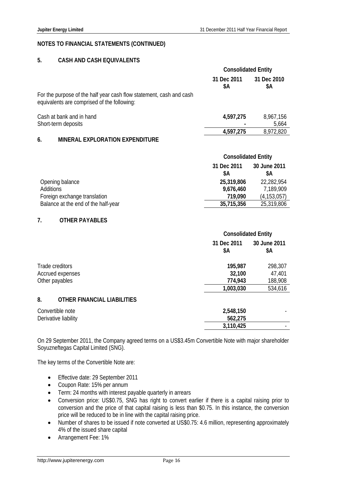### **NOTES TO FINANCIAL STATEMENTS (CONTINUED)**

# **5. CASH AND CASH EQUIVALENTS**

|                                                                                                                    | <b>Consolidated Entity</b> |                    |
|--------------------------------------------------------------------------------------------------------------------|----------------------------|--------------------|
|                                                                                                                    | 31 Dec 2011<br>SΑ          | 31 Dec 2010<br>\$Α |
| For the purpose of the half year cash flow statement, cash and cash<br>equivalents are comprised of the following: |                            |                    |
| Cash at bank and in hand                                                                                           | 4,597,275                  | 8,967,156          |
| Short-term deposits                                                                                                |                            | 5,664              |
|                                                                                                                    | 4,597,275                  | 8,972,820          |
| 6.<br><b>MINERAL EXPLORATION EXPENDITURE</b>                                                                       |                            |                    |

|                                     | <b>Consolidated Entity</b> |                    |
|-------------------------------------|----------------------------|--------------------|
|                                     | 31 Dec 2011<br>SΑ          | 30 June 2011<br>SΑ |
| Opening balance                     | 25,319,806                 | 22,282,954         |
| Additions                           | 9,676,460                  | 7,189,909          |
| Foreign exchange translation        | 719,090                    | (4, 153, 057)      |
| Balance at the end of the half-year | 35,715,356                 | 25,319,806         |

#### **7. OTHER PAYABLES**

|                                          |                    | <b>Consolidated Entity</b> |  |
|------------------------------------------|--------------------|----------------------------|--|
|                                          | 31 Dec 2011<br>\$Α | 30 June 2011<br>\$Α        |  |
| Trade creditors                          | 195,987            | 298,307                    |  |
| Accrued expenses                         | 32,100             | 47,401                     |  |
| Other payables                           | 774,943            | 188,908                    |  |
|                                          | 1,003,030          | 534,616                    |  |
| 8.<br><b>OTHER FINANCIAL LIABILITIES</b> |                    |                            |  |
| Convertible note                         | 2,548,150          |                            |  |
| Derivative liability                     | 562,275            |                            |  |
|                                          | 3,110,425          |                            |  |

On 29 September 2011, the Company agreed terms on a US\$3.45m Convertible Note with major shareholder Soyuzneftegas Capital Limited (SNG).

The key terms of the Convertible Note are:

- Effective date: 29 September 2011
- Coupon Rate: 15% per annum
- Term: 24 months with interest payable quarterly in arrears
- Conversion price: US\$0.75, SNG has right to convert earlier if there is a capital raising prior to conversion and the price of that capital raising is less than \$0.75. In this instance, the conversion price will be reduced to be in line with the capital raising price.
- Number of shares to be issued if note converted at US\$0.75: 4.6 million, representing approximately 4% of the issued share capital
- Arrangement Fee: 1%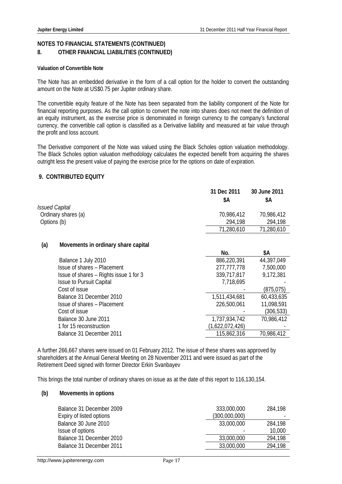# **NOTES TO FINANCIAL STATEMENTS (CONTINUED) 8. OTHER FINANCIAL LIABILITIES (CONTINUED)**

#### **Valuation of Convertible Note**

The Note has an embedded derivative in the form of a call option for the holder to convert the outstanding amount on the Note at US\$0.75 per Jupiter ordinary share.

The convertible equity feature of the Note has been separated from the liability component of the Note for financial reporting purposes. As the call option to convert the note into shares does not meet the definition of an equity instrument, as the exercise price is denominated in foreign currency to the company's functional currency, the convertible call option is classified as a Derivative liability and measured at fair value through the profit and loss account.

The Derivative component of the Note was valued using the Black Scholes option valuation methodology. The Black Scholes option valuation methodology calculates the expected benefit from acquiring the shares outright less the present value of paying the exercise price for the options on date of expiration.

# **9. CONTRIBUTED EQUITY**

|                              | 31 Dec 2011 | 30 June 2011 |
|------------------------------|-------------|--------------|
|                              | SΑ          | \$Α          |
| <i><b>Issued Capital</b></i> |             |              |
| Ordinary shares (a)          | 70,986,412  | 70,986,412   |
| Options (b)                  | 294.198     | 294,198      |
|                              | 71,280,610  | 71,280,610   |

#### **(a) Movements in ordinary share capital**

|                                        | No.             | \$Α        |
|----------------------------------------|-----------------|------------|
| Balance 1 July 2010                    | 886,220,391     | 44,397,049 |
| Issue of shares - Placement            | 277, 777, 778   | 7,500,000  |
| Issue of shares - Rights issue 1 for 3 | 339,717,817     | 9,172,381  |
| <b>Issue to Pursuit Capital</b>        | 7,718,695       |            |
| Cost of issue                          |                 | (875, 075) |
| Balance 31 December 2010               | 1,511,434,681   | 60,433,635 |
| Issue of shares - Placement            | 226,500,061     | 11,098,591 |
| Cost of issue                          |                 | (306, 533) |
| Balance 30 June 2011                   | 1,737,934,742   | 70,986,412 |
| 1 for 15 reconstruction                | (1,622,072,426) |            |
| Balance 31 December 2011               | 115,862,316     | 70,986,412 |

A further 266,667 shares were issued on 01 February 2012. The issue of these shares was approved by shareholders at the Annual General Meeting on 28 November 2011 and were issued as part of the Retirement Deed signed with former Director Erkin Svanbayev

This brings the total number of ordinary shares on issue as at the date of this report to 116,130,154.

#### **(b) Movements in options**

| Balance 31 December 2009 | 333,000,000   | 284.198 |
|--------------------------|---------------|---------|
| Expiry of listed options | (300,000,000) |         |
| Balance 30 June 2010     | 33,000,000    | 284,198 |
| Issue of options         |               | 10,000  |
| Balance 31 December 2010 | 33,000,000    | 294.198 |
| Balance 31 December 2011 | 33,000,000    | 294,198 |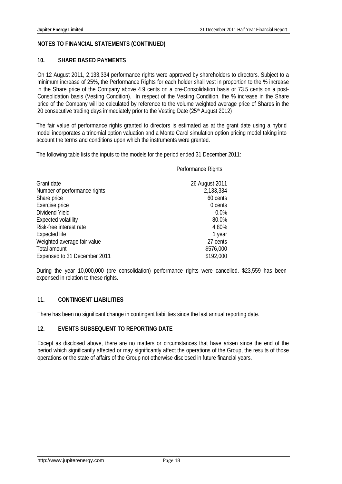# **NOTES TO FINANCIAL STATEMENTS (CONTINUED)**

# **10. SHARE BASED PAYMENTS**

On 12 August 2011, 2,133,334 performance rights were approved by shareholders to directors. Subject to a minimum increase of 25%, the Performance Rights for each holder shall vest in proportion to the % increase in the Share price of the Company above 4.9 cents on a pre-Consolidation basis or 73.5 cents on a post-Consolidation basis (Vesting Condition). In respect of the Vesting Condition, the % increase in the Share price of the Company will be calculated by reference to the volume weighted average price of Shares in the 20 consecutive trading days immediately prior to the Vesting Date (25th August 2012)

The fair value of performance rights granted to directors is estimated as at the grant date using a hybrid model incorporates a trinomial option valuation and a Monte Carol simulation option pricing model taking into account the terms and conditions upon which the instruments were granted.

The following table lists the inputs to the models for the period ended 31 December 2011:

Performance Rights

| Grant date                   | 26 August 2011 |
|------------------------------|----------------|
| Number of performance rights | 2,133,334      |
| Share price                  | 60 cents       |
| Exercise price               | 0 cents        |
| Dividend Yield               | 0.0%           |
| <b>Expected volatility</b>   | 80.0%          |
| Risk-free interest rate      | 4.80%          |
| Expected life                | 1 year         |
| Weighted average fair value  | 27 cents       |
| Total amount                 | \$576,000      |
| Expensed to 31 December 2011 | \$192,000      |

During the year 10,000,000 (pre consolidation) performance rights were cancelled. \$23,559 has been expensed in relation to these rights.

# **11. CONTINGENT LIABILITIES**

There has been no significant change in contingent liabilities since the last annual reporting date.

# **12. EVENTS SUBSEQUENT TO REPORTING DATE**

Except as disclosed above, there are no matters or circumstances that have arisen since the end of the period which significantly affected or may significantly affect the operations of the Group, the results of those operations or the state of affairs of the Group not otherwise disclosed in future financial years.